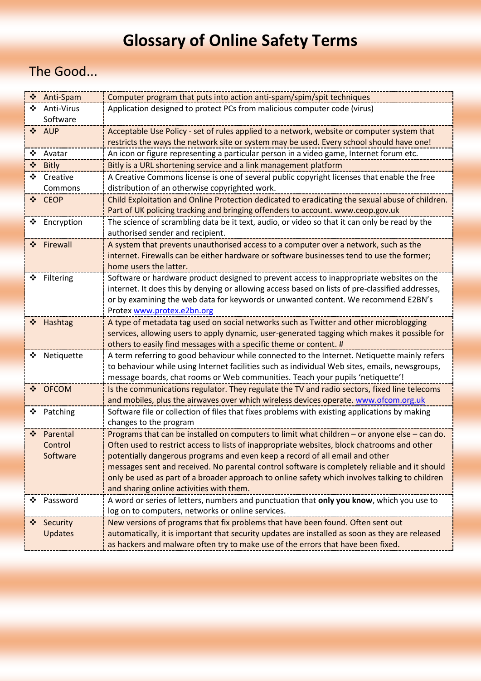## **Glossary of Online Safety Terms**

## The Good...

|               | ❖ Anti-Spam    | Computer program that puts into action anti-spam/spim/spit techniques                            |
|---------------|----------------|--------------------------------------------------------------------------------------------------|
| ❖             | Anti-Virus     | Application designed to protect PCs from malicious computer code (virus)                         |
|               | Software       |                                                                                                  |
|               | ❖ AUP          | Acceptable Use Policy - set of rules applied to a network, website or computer system that       |
|               |                | restricts the ways the network site or system may be used. Every school should have one!         |
|               | ❖ Avatar       | An icon or figure representing a particular person in a video game, Internet forum etc.          |
|               | ❖ Bitly        | Bitly is a URL shortening service and a link management platform                                 |
| ❖             | Creative       | A Creative Commons license is one of several public copyright licenses that enable the free      |
|               | Commons        | distribution of an otherwise copyrighted work.                                                   |
|               | ❖ CEOP         | Child Exploitation and Online Protection dedicated to eradicating the sexual abuse of children.  |
|               |                | Part of UK policing tracking and bringing offenders to account. www.ceop.gov.uk                  |
| ❖             | Encryption     | The science of scrambling data be it text, audio, or video so that it can only be read by the    |
|               |                | authorised sender and recipient.                                                                 |
| $\frac{1}{2}$ | Firewall       | A system that prevents unauthorised access to a computer over a network, such as the             |
|               |                | internet. Firewalls can be either hardware or software businesses tend to use the former;        |
|               |                | home users the latter.                                                                           |
| ❖             | Filtering      | Software or hardware product designed to prevent access to inappropriate websites on the         |
|               |                | internet. It does this by denying or allowing access based on lists of pre-classified addresses, |
|               |                | or by examining the web data for keywords or unwanted content. We recommend E2BN's               |
|               |                | Protex www.protex.e2bn.org                                                                       |
| ❖             | Hashtag        | A type of metadata tag used on social networks such as Twitter and other microblogging           |
|               |                | services, allowing users to apply dynamic, user-generated tagging which makes it possible for    |
|               |                | others to easily find messages with a specific theme or content. #                               |
| ❖             | Netiquette     | A term referring to good behaviour while connected to the Internet. Netiquette mainly refers     |
|               |                | to behaviour while using Internet facilities such as individual Web sites, emails, newsgroups,   |
|               |                | message boards, chat rooms or Web communities. Teach your pupils 'netiquette'!                   |
| $\frac{1}{2}$ | <b>OFCOM</b>   | Is the communications regulator. They regulate the TV and radio sectors, fixed line telecoms     |
|               |                | and mobiles, plus the airwaves over which wireless devices operate. www.ofcom.org.uk             |
| ❖             | Patching       | Software file or collection of files that fixes problems with existing applications by making    |
|               |                | changes to the program                                                                           |
| ❖             | Parental       | Programs that can be installed on computers to limit what children - or anyone else - can do.    |
|               | Control        | Often used to restrict access to lists of inappropriate websites, block chatrooms and other      |
|               | Software       | potentially dangerous programs and even keep a record of all email and other                     |
|               |                | messages sent and received. No parental control software is completely reliable and it should    |
|               |                | only be used as part of a broader approach to online safety which involves talking to children   |
|               |                | and sharing online activities with them.                                                         |
| ❖             | Password       | A word or series of letters, numbers and punctuation that only you know, which you use to        |
|               |                | log on to computers, networks or online services.                                                |
|               | Security       | New versions of programs that fix problems that have been found. Often sent out                  |
|               | <b>Updates</b> | automatically, it is important that security updates are installed as soon as they are released  |
|               |                | as hackers and malware often try to make use of the errors that have been fixed.                 |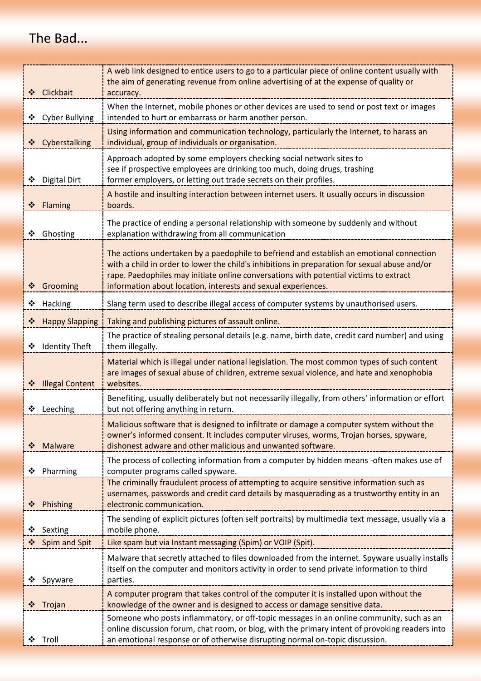## The Bad...

| ❖ Clickbait                | A web link designed to entice users to go to a particular piece of online content usually with<br>the aim of generating revenue from online advertising of at the expense of quality or<br>accuracy.                                                                                                                                                |
|----------------------------|-----------------------------------------------------------------------------------------------------------------------------------------------------------------------------------------------------------------------------------------------------------------------------------------------------------------------------------------------------|
| <b>Cyber Bullying</b><br>❖ | When the Internet, mobile phones or other devices are used to send or post text or images<br>intended to hurt or embarrass or harm another person.                                                                                                                                                                                                  |
| ❖ Cyberstalking            | Using information and communication technology, particularly the Internet, to harass an<br>individual, group of individuals or organisation.                                                                                                                                                                                                        |
| Digital Dirt<br>❖          | Approach adopted by some employers checking social network sites to<br>see if prospective employees are drinking too much, doing drugs, trashing<br>former employers, or letting out trade secrets on their profiles.                                                                                                                               |
| ❖ Flaming                  | A hostile and insulting interaction between internet users. It usually occurs in discussion<br>boards.                                                                                                                                                                                                                                              |
| Ghosting<br>❖              | The practice of ending a personal relationship with someone by suddenly and without<br>explanation withdrawing from all communication                                                                                                                                                                                                               |
| ❖ Grooming                 | The actions undertaken by a paedophile to befriend and establish an emotional connection<br>with a child in order to lower the child's inhibitions in preparation for sexual abuse and/or<br>rape. Paedophiles may initiate online conversations with potential victims to extract<br>information about location, interests and sexual experiences. |
| Hacking<br>❖               | Slang term used to describe illegal access of computer systems by unauthorised users.                                                                                                                                                                                                                                                               |
| ❖ Happy Slapping           | Taking and publishing pictures of assault online.                                                                                                                                                                                                                                                                                                   |
| <b>Identity Theft</b><br>❖ | The practice of stealing personal details (e.g. name, birth date, credit card number) and using<br>them illegally.                                                                                                                                                                                                                                  |
| ❖ Illegal Content          | Material which is illegal under national legislation. The most common types of such content<br>are images of sexual abuse of children, extreme sexual violence, and hate and xenophobia<br>websites.                                                                                                                                                |
| Leeching<br>❖              | Benefiting, usually deliberately but not necessarily illegally, from others' information or effort<br>but not offering anything in return.                                                                                                                                                                                                          |
| Malware                    | Malicious software that is designed to infiltrate or damage a computer system without the<br>owner's informed consent. It includes computer viruses, worms, Trojan horses, spyware,<br>dishonest adware and other malicious and unwanted software.                                                                                                  |
| Pharming<br>❖              | The process of collecting information from a computer by hidden means -often makes use of<br>computer programs called spyware.                                                                                                                                                                                                                      |
| Phishing<br>❖              | The criminally fraudulent process of attempting to acquire sensitive information such as<br>usernames, passwords and credit card details by masquerading as a trustworthy entity in an<br>electronic communication.                                                                                                                                 |
| Sexting<br>❖               | The sending of explicit pictures (often self portraits) by multimedia text message, usually via a<br>mobile phone.                                                                                                                                                                                                                                  |
| Spim and Spit              | Like spam but via Instant messaging (Spim) or VOIP (Spit).                                                                                                                                                                                                                                                                                          |
| Spyware<br>❖               | Malware that secretly attached to files downloaded from the internet. Spyware usually installs<br>itself on the computer and monitors activity in order to send private information to third<br>parties.                                                                                                                                            |
| Trojan<br>❖                | A computer program that takes control of the computer it is installed upon without the<br>knowledge of the owner and is designed to access or damage sensitive data.                                                                                                                                                                                |
| Troll                      | Someone who posts inflammatory, or off-topic messages in an online community, such as an<br>online discussion forum, chat room, or blog, with the primary intent of provoking readers into<br>an emotional response or of otherwise disrupting normal on-topic discussion.                                                                          |